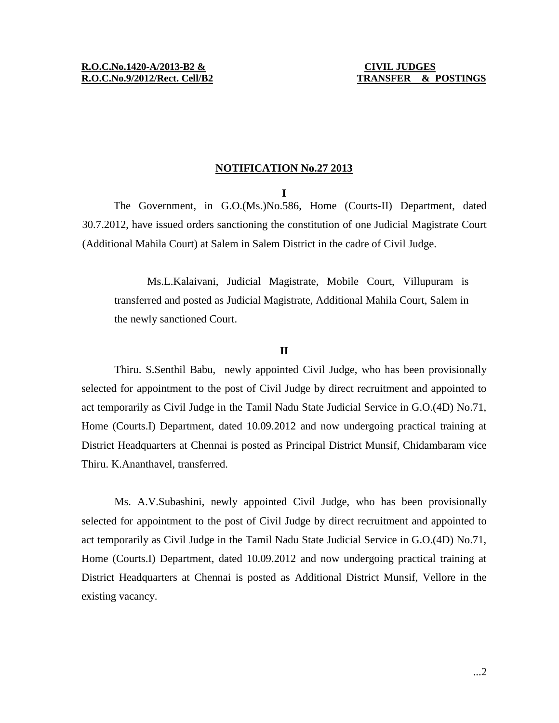## **NOTIFICATION No.27 2013**

**I**

The Government, in G.O.(Ms.)No.586, Home (Courts-II) Department, dated 30.7.2012, have issued orders sanctioning the constitution of one Judicial Magistrate Court (Additional Mahila Court) at Salem in Salem District in the cadre of Civil Judge.

Ms.L.Kalaivani, Judicial Magistrate, Mobile Court, Villupuram is transferred and posted as Judicial Magistrate, Additional Mahila Court, Salem in the newly sanctioned Court.

## **II**

Thiru. S.Senthil Babu, newly appointed Civil Judge, who has been provisionally selected for appointment to the post of Civil Judge by direct recruitment and appointed to act temporarily as Civil Judge in the Tamil Nadu State Judicial Service in G.O.(4D) No.71, Home (Courts.I) Department, dated 10.09.2012 and now undergoing practical training at District Headquarters at Chennai is posted as Principal District Munsif, Chidambaram vice Thiru. K.Ananthavel, transferred.

Ms. A.V.Subashini, newly appointed Civil Judge, who has been provisionally selected for appointment to the post of Civil Judge by direct recruitment and appointed to act temporarily as Civil Judge in the Tamil Nadu State Judicial Service in G.O.(4D) No.71, Home (Courts.I) Department, dated 10.09.2012 and now undergoing practical training at District Headquarters at Chennai is posted as Additional District Munsif, Vellore in the existing vacancy.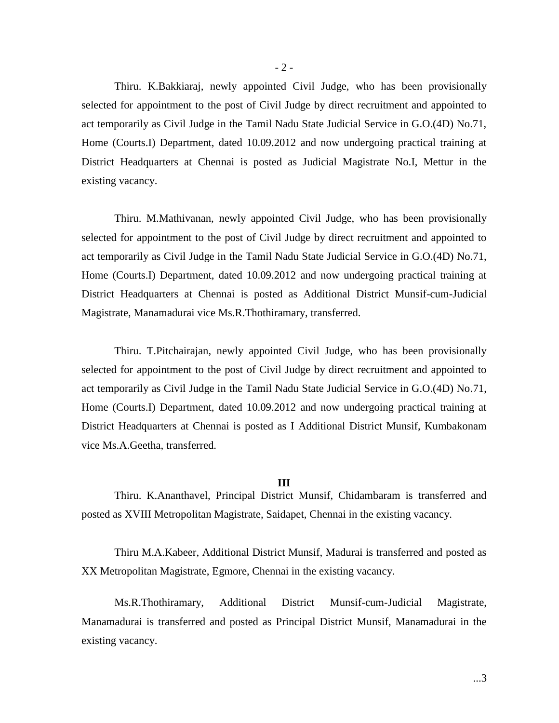Thiru. K.Bakkiaraj, newly appointed Civil Judge, who has been provisionally selected for appointment to the post of Civil Judge by direct recruitment and appointed to act temporarily as Civil Judge in the Tamil Nadu State Judicial Service in G.O.(4D) No.71, Home (Courts.I) Department, dated 10.09.2012 and now undergoing practical training at District Headquarters at Chennai is posted as Judicial Magistrate No.I, Mettur in the existing vacancy.

Thiru. M.Mathivanan, newly appointed Civil Judge, who has been provisionally selected for appointment to the post of Civil Judge by direct recruitment and appointed to act temporarily as Civil Judge in the Tamil Nadu State Judicial Service in G.O.(4D) No.71, Home (Courts.I) Department, dated 10.09.2012 and now undergoing practical training at District Headquarters at Chennai is posted as Additional District Munsif-cum-Judicial Magistrate, Manamadurai vice Ms.R.Thothiramary, transferred.

Thiru. T.Pitchairajan, newly appointed Civil Judge, who has been provisionally selected for appointment to the post of Civil Judge by direct recruitment and appointed to act temporarily as Civil Judge in the Tamil Nadu State Judicial Service in G.O.(4D) No.71, Home (Courts.I) Department, dated 10.09.2012 and now undergoing practical training at District Headquarters at Chennai is posted as I Additional District Munsif, Kumbakonam vice Ms.A.Geetha, transferred.

## **III**

Thiru. K.Ananthavel, Principal District Munsif, Chidambaram is transferred and posted as XVIII Metropolitan Magistrate, Saidapet, Chennai in the existing vacancy.

Thiru M.A.Kabeer, Additional District Munsif, Madurai is transferred and posted as XX Metropolitan Magistrate, Egmore, Chennai in the existing vacancy.

Ms.R.Thothiramary, Additional District Munsif-cum-Judicial Magistrate, Manamadurai is transferred and posted as Principal District Munsif, Manamadurai in the existing vacancy.